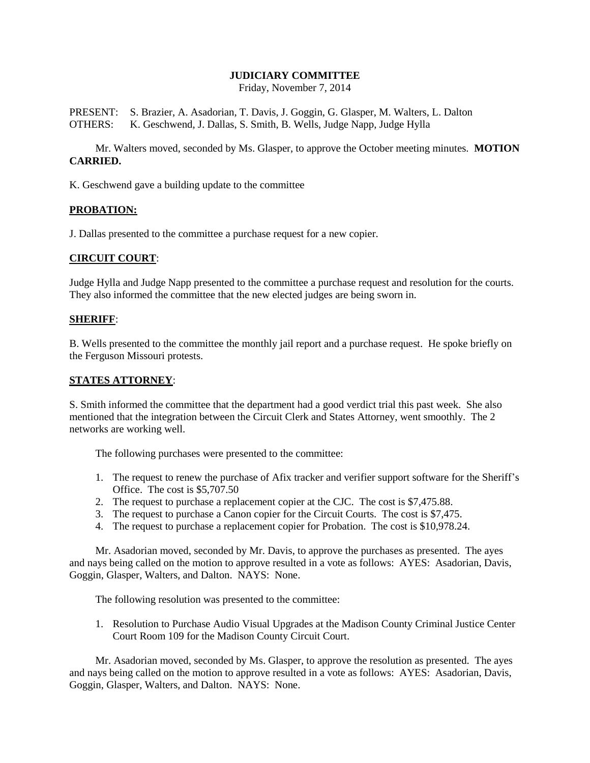# **JUDICIARY COMMITTEE**

Friday, November 7, 2014

PRESENT: S. Brazier, A. Asadorian, T. Davis, J. Goggin, G. Glasper, M. Walters, L. Dalton OTHERS: K. Geschwend, J. Dallas, S. Smith, B. Wells, Judge Napp, Judge Hylla

Mr. Walters moved, seconded by Ms. Glasper, to approve the October meeting minutes. **MOTION CARRIED.**

K. Geschwend gave a building update to the committee

## **PROBATION:**

J. Dallas presented to the committee a purchase request for a new copier.

## **CIRCUIT COURT**:

Judge Hylla and Judge Napp presented to the committee a purchase request and resolution for the courts. They also informed the committee that the new elected judges are being sworn in.

## **SHERIFF**:

B. Wells presented to the committee the monthly jail report and a purchase request. He spoke briefly on the Ferguson Missouri protests.

## **STATES ATTORNEY**:

S. Smith informed the committee that the department had a good verdict trial this past week. She also mentioned that the integration between the Circuit Clerk and States Attorney, went smoothly. The 2 networks are working well.

The following purchases were presented to the committee:

- 1. The request to renew the purchase of Afix tracker and verifier support software for the Sheriff's Office. The cost is \$5,707.50
- 2. The request to purchase a replacement copier at the CJC. The cost is \$7,475.88.
- 3. The request to purchase a Canon copier for the Circuit Courts. The cost is \$7,475.
- 4. The request to purchase a replacement copier for Probation. The cost is \$10,978.24.

Mr. Asadorian moved, seconded by Mr. Davis, to approve the purchases as presented. The ayes and nays being called on the motion to approve resulted in a vote as follows: AYES: Asadorian, Davis, Goggin, Glasper, Walters, and Dalton. NAYS: None.

The following resolution was presented to the committee:

1. Resolution to Purchase Audio Visual Upgrades at the Madison County Criminal Justice Center Court Room 109 for the Madison County Circuit Court.

Mr. Asadorian moved, seconded by Ms. Glasper, to approve the resolution as presented. The ayes and nays being called on the motion to approve resulted in a vote as follows: AYES: Asadorian, Davis, Goggin, Glasper, Walters, and Dalton. NAYS: None.